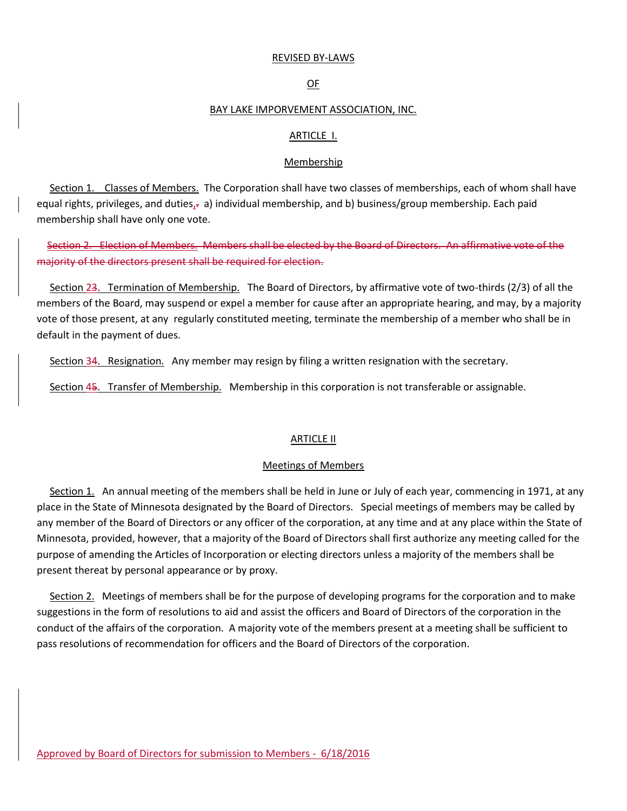#### REVISED BY-LAWS

### OF

#### BAY LAKE IMPORVEMENT ASSOCIATION, INC.

## ARTICLE I.

### Membership

 Section 1. Classes of Members. The Corporation shall have two classes of memberships, each of whom shall have equal rights, privileges, and duties, $\frac{1}{2}$  a) individual membership, and b) business/group membership. Each paid membership shall have only one vote.

 Section 2. Election of Members. Members shall be elected by the Board of Directors. An affirmative vote of the majority of the directors present shall be required for election.

 Section 23. Termination of Membership. The Board of Directors, by affirmative vote of two-thirds (2/3) of all the members of the Board, may suspend or expel a member for cause after an appropriate hearing, and may, by a majority vote of those present, at any regularly constituted meeting, terminate the membership of a member who shall be in default in the payment of dues.

Section 34. Resignation. Any member may resign by filing a written resignation with the secretary.

Section 45. Transfer of Membership. Membership in this corporation is not transferable or assignable.

#### **ARTICLE II**

#### Meetings of Members

 Section 1. An annual meeting of the members shall be held in June or July of each year, commencing in 1971, at any place in the State of Minnesota designated by the Board of Directors. Special meetings of members may be called by any member of the Board of Directors or any officer of the corporation, at any time and at any place within the State of Minnesota, provided, however, that a majority of the Board of Directors shall first authorize any meeting called for the purpose of amending the Articles of Incorporation or electing directors unless a majority of the members shall be present thereat by personal appearance or by proxy.

 Section 2. Meetings of members shall be for the purpose of developing programs for the corporation and to make suggestions in the form of resolutions to aid and assist the officers and Board of Directors of the corporation in the conduct of the affairs of the corporation. A majority vote of the members present at a meeting shall be sufficient to pass resolutions of recommendation for officers and the Board of Directors of the corporation.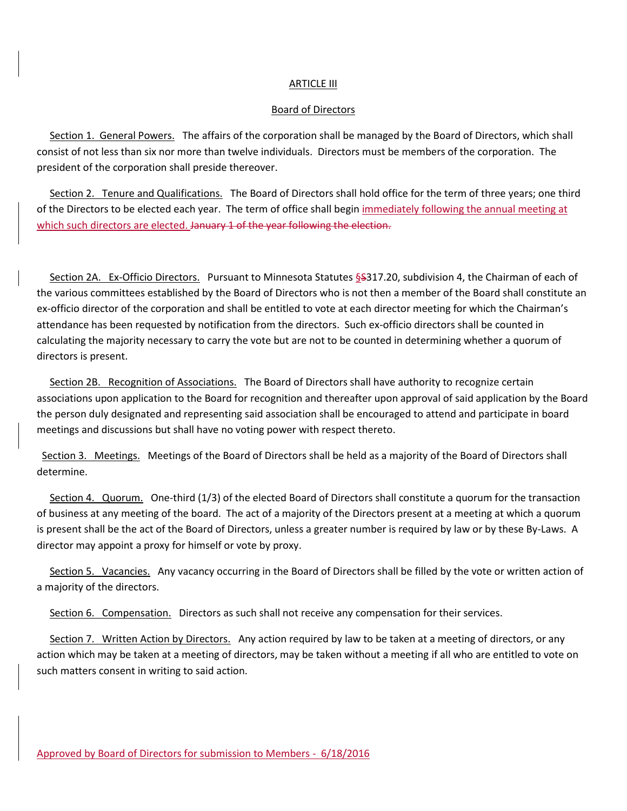## ARTICLE III

## Board of Directors

 Section 1. General Powers. The affairs of the corporation shall be managed by the Board of Directors, which shall consist of not less than six nor more than twelve individuals. Directors must be members of the corporation. The president of the corporation shall preside thereover.

 Section 2. Tenure and Qualifications. The Board of Directors shall hold office for the term of three years; one third of the Directors to be elected each year. The term of office shall begin immediately following the annual meeting at which such directors are elected. January 1 of the year following the election.

 Section 2A. Ex-Officio Directors. Pursuant to Minnesota Statutes §S317.20, subdivision 4, the Chairman of each of the various committees established by the Board of Directors who is not then a member of the Board shall constitute an ex-officio director of the corporation and shall be entitled to vote at each director meeting for which the Chairman's attendance has been requested by notification from the directors. Such ex-officio directors shall be counted in calculating the majority necessary to carry the vote but are not to be counted in determining whether a quorum of directors is present.

 Section 2B. Recognition of Associations. The Board of Directors shall have authority to recognize certain associations upon application to the Board for recognition and thereafter upon approval of said application by the Board the person duly designated and representing said association shall be encouraged to attend and participate in board meetings and discussions but shall have no voting power with respect thereto.

 Section 3. Meetings. Meetings of the Board of Directors shall be held as a majority of the Board of Directors shall determine.

 Section 4. Quorum. One-third (1/3) of the elected Board of Directors shall constitute a quorum for the transaction of business at any meeting of the board. The act of a majority of the Directors present at a meeting at which a quorum is present shall be the act of the Board of Directors, unless a greater number is required by law or by these By-Laws. A director may appoint a proxy for himself or vote by proxy.

 Section 5. Vacancies. Any vacancy occurring in the Board of Directors shall be filled by the vote or written action of a majority of the directors.

Section 6. Compensation. Directors as such shall not receive any compensation for their services.

Section 7. Written Action by Directors. Any action required by law to be taken at a meeting of directors, or any action which may be taken at a meeting of directors, may be taken without a meeting if all who are entitled to vote on such matters consent in writing to said action.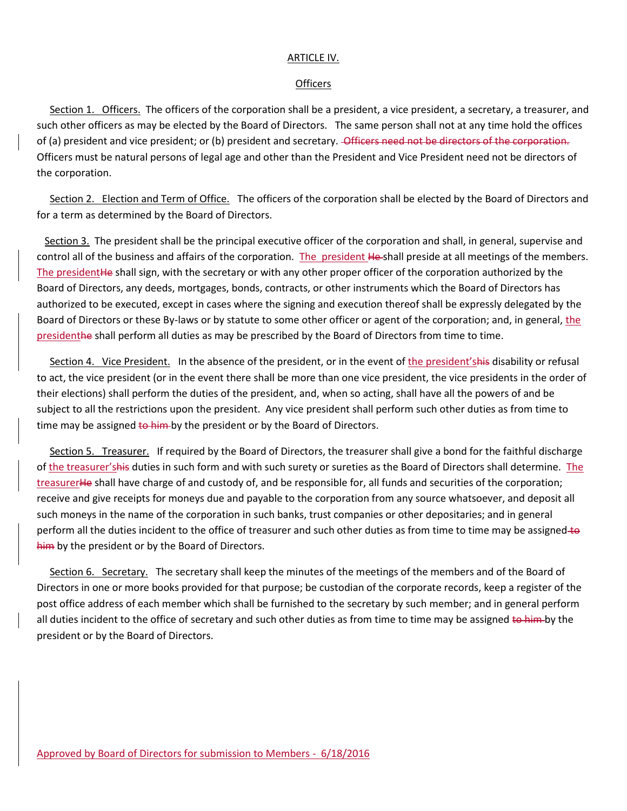## ARTICLE IV.

## **Officers**

 Section 1. Officers. The officers of the corporation shall be a president, a vice president, a secretary, a treasurer, and such other officers as may be elected by the Board of Directors. The same person shall not at any time hold the offices of (a) president and vice president; or (b) president and secretary. Officers need not be directors of the corporation. Officers must be natural persons of legal age and other than the President and Vice President need not be directors of the corporation.

 Section 2. Election and Term of Office. The officers of the corporation shall be elected by the Board of Directors and for a term as determined by the Board of Directors.

 Section 3. The president shall be the principal executive officer of the corporation and shall, in general, supervise and control all of the business and affairs of the corporation. The president He-shall preside at all meetings of the members. The presidentHe shall sign, with the secretary or with any other proper officer of the corporation authorized by the Board of Directors, any deeds, mortgages, bonds, contracts, or other instruments which the Board of Directors has authorized to be executed, except in cases where the signing and execution thereof shall be expressly delegated by the Board of Directors or these By-laws or by statute to some other officer or agent of the corporation; and, in general, the presidenthe shall perform all duties as may be prescribed by the Board of Directors from time to time.

 Section 4. Vice President. In the absence of the president, or in the event of the president'shis disability or refusal to act, the vice president (or in the event there shall be more than one vice president, the vice presidents in the order of their elections) shall perform the duties of the president, and, when so acting, shall have all the powers of and be subject to all the restrictions upon the president. Any vice president shall perform such other duties as from time to time may be assigned to him by the president or by the Board of Directors.

Section 5. Treasurer. If required by the Board of Directors, the treasurer shall give a bond for the faithful discharge of the treasurer'shis duties in such form and with such surety or sureties as the Board of Directors shall determine. The treasurerHe shall have charge of and custody of, and be responsible for, all funds and securities of the corporation; receive and give receipts for moneys due and payable to the corporation from any source whatsoever, and deposit all such moneys in the name of the corporation in such banks, trust companies or other depositaries; and in general perform all the duties incident to the office of treasurer and such other duties as from time to time may be assigned to him by the president or by the Board of Directors.

 Section 6. Secretary. The secretary shall keep the minutes of the meetings of the members and of the Board of Directors in one or more books provided for that purpose; be custodian of the corporate records, keep a register of the post office address of each member which shall be furnished to the secretary by such member; and in general perform all duties incident to the office of secretary and such other duties as from time to time may be assigned to him by the president or by the Board of Directors.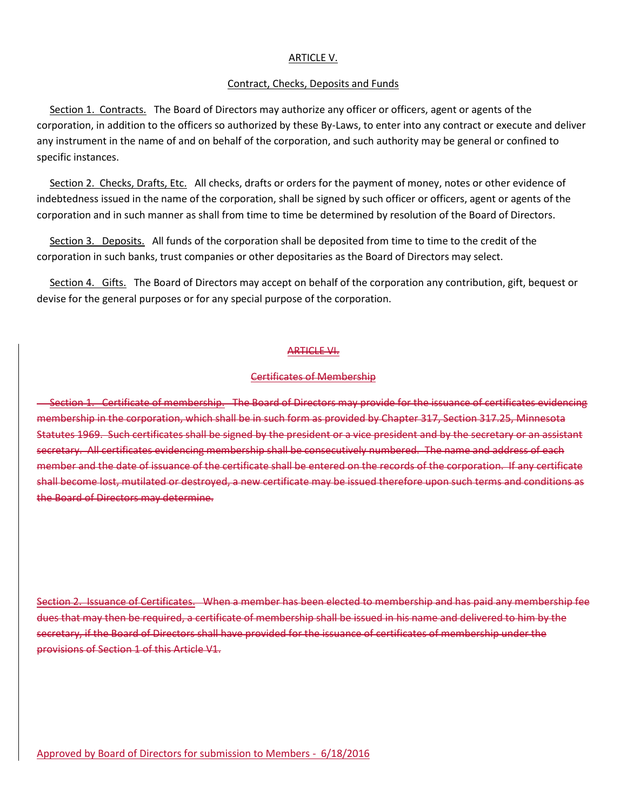### ARTICLE V.

### Contract, Checks, Deposits and Funds

 Section 1. Contracts. The Board of Directors may authorize any officer or officers, agent or agents of the corporation, in addition to the officers so authorized by these By-Laws, to enter into any contract or execute and deliver any instrument in the name of and on behalf of the corporation, and such authority may be general or confined to specific instances.

 Section 2. Checks, Drafts, Etc. All checks, drafts or orders for the payment of money, notes or other evidence of indebtedness issued in the name of the corporation, shall be signed by such officer or officers, agent or agents of the corporation and in such manner as shall from time to time be determined by resolution of the Board of Directors.

 Section 3. Deposits. All funds of the corporation shall be deposited from time to time to the credit of the corporation in such banks, trust companies or other depositaries as the Board of Directors may select.

 Section 4. Gifts. The Board of Directors may accept on behalf of the corporation any contribution, gift, bequest or devise for the general purposes or for any special purpose of the corporation.

#### ARTICLE VI.

### Certificates of Membership

 Section 1. Certificate of membership. The Board of Directors may provide for the issuance of certificates evidencing membership in the corporation, which shall be in such form as provided by Chapter 317, Section 317.25, Minnesota Statutes 1969. Such certificates shall be signed by the president or a vice president and by the secretary or an assistant secretary. All certificates evidencing membership shall be consecutively numbered. The name and address of each member and the date of issuance of the certificate shall be entered on the records of the corporation. If any certificate shall become lost, mutilated or destroyed, a new certificate may be issued therefore upon such terms and conditions as the Board of Directors may determine.

Section 2. Issuance of Certificates. When a member has been elected to membership and has paid any membership fee dues that may then be required, a certificate of membership shall be issued in his name and delivered to him by the secretary, if the Board of Directors shall have provided for the issuance of certificates of membership under the provisions of Section 1 of this Article V1.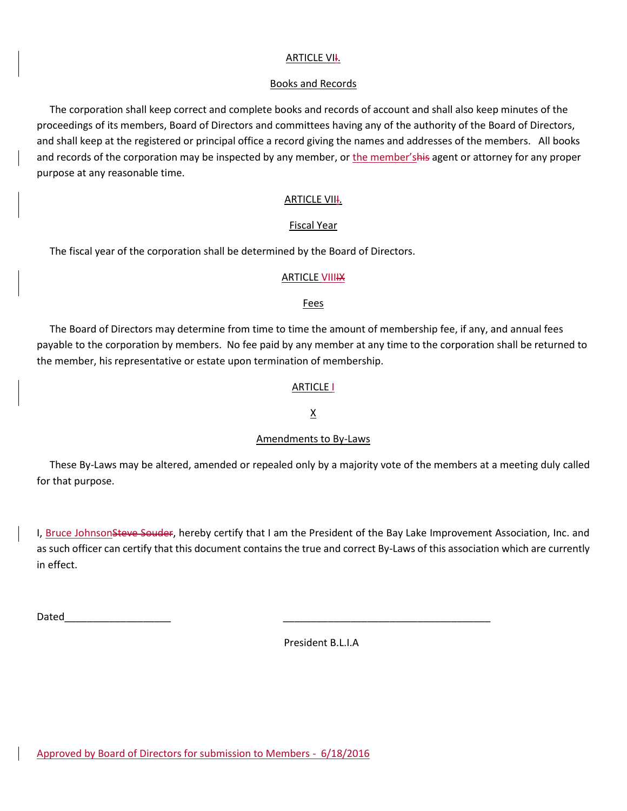# **ARTICLE VII.**

## Books and Records

 The corporation shall keep correct and complete books and records of account and shall also keep minutes of the proceedings of its members, Board of Directors and committees having any of the authority of the Board of Directors, and shall keep at the registered or principal office a record giving the names and addresses of the members. All books and records of the corporation may be inspected by any member, or the member'shis agent or attorney for any proper purpose at any reasonable time.

# **ARTICLE VIII.**

# Fiscal Year

The fiscal year of the corporation shall be determined by the Board of Directors.

## **ARTICLE VIIIIX**

## Fees

 The Board of Directors may determine from time to time the amount of membership fee, if any, and annual fees payable to the corporation by members. No fee paid by any member at any time to the corporation shall be returned to the member, his representative or estate upon termination of membership.

# ARTICLE I

# X

# Amendments to By-Laws

 These By-Laws may be altered, amended or repealed only by a majority vote of the members at a meeting duly called for that purpose.

I, Bruce JohnsonSteve Souder, hereby certify that I am the President of the Bay Lake Improvement Association, Inc. and as such officer can certify that this document contains the true and correct By-Laws of this association which are currently in effect.

Dated\_\_\_\_\_\_\_\_\_\_\_\_\_\_\_\_\_\_\_ \_\_\_\_\_\_\_\_\_\_\_\_\_\_\_\_\_\_\_\_\_\_\_\_\_\_\_\_\_\_\_\_\_\_\_\_\_

President B.L.I.A

Approved by Board of Directors for submission to Members - 6/18/2016